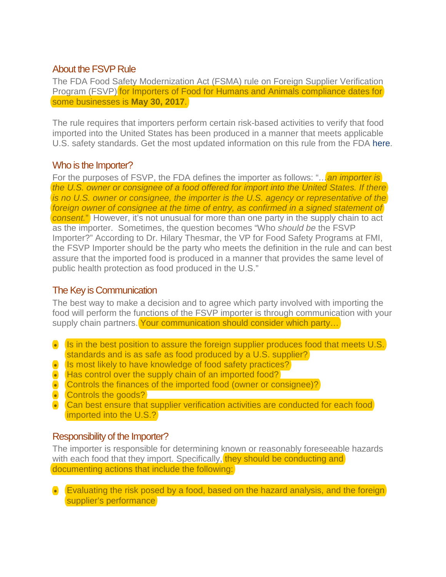# About the FSVP Rule

The FDA Food Safety Modernization Act (FSMA) rule on Foreign Supplier Verification Program (FSVP) for Importers of Food for Humans and Animals compliance dates for some businesses is **May 30, 2017**.

The rule requires that importers perform certain risk-based activities to verify that food imported into the United States has been produced in a manner that meets applicable U.S. safety standards. Get the most updated information on this rule from the FDA [here.](https://www.fda.gov/downloads/food/guidanceregulation/fsma/ucm412924.pdf)

# Who is the Importer?

For the purposes of FSVP, the FDA defines the importer as follows: "... an *importer is the U.S. owner or consignee of a food offered for import into the United States. If there is no U.S. owner or consignee, the importer is the U.S. agency or representative of the foreign owner of consignee at the time of entry, as confirmed in a signed statement of consent.*" However, it's not unusual for more than one party in the supply chain to act as the importer. Sometimes, the question becomes "Who *should be* the FSVP Importer?" According to Dr. Hilary Thesmar, the VP for Food Safety Programs at FMI, the FSVP Importer should be the party who meets the definition in the rule and can best assure that the imported food is produced in a manner that provides the same level of public health protection as food produced in the U.S."

### The Key is Communication

The best way to make a decision and to agree which party involved with importing the food will perform the functions of the FSVP importer is through communication with your supply chain partners. Your communication should consider which party...

- Is in the best position to assure the foreign supplier produces food that meets U.S. standards and is as safe as food produced by a U.S. supplier?
- Is most likely to have knowledge of food safety practices?
- Has control over the supply chain of an imported food?
- Controls the finances of the imported food (owner or consignee)?
- Controls the goods?
- Can best ensure that supplier verification activities are conducted for each food imported into the U.S.?

### Responsibility of the Importer?

The importer is responsible for determining known or reasonably foreseeable hazards with each food that they import. Specifically, they should be conducting and documenting actions that include the following:

• Evaluating the risk posed by a food, based on the hazard analysis, and the foreign supplier's performance